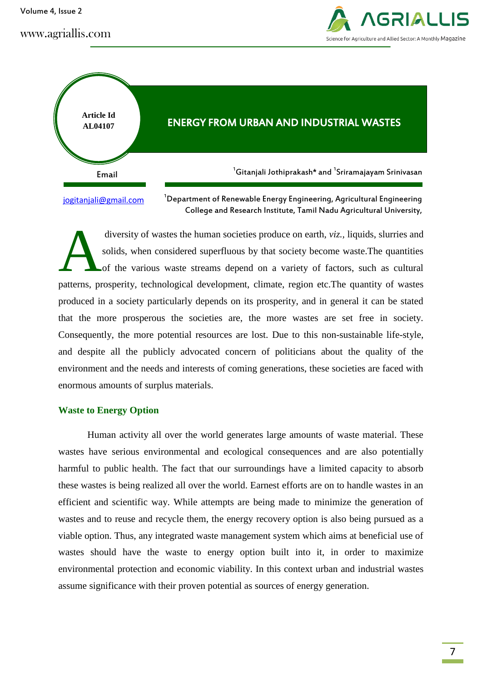Volume 4, Issue 2





diversity of wastes the human societies produce on earth, *viz.,* liquids, slurries and solids, when considered superfluous by that society become waste.The quantities of the various waste streams depend on a variety of factors, such as cultural patterns, prosperity, technological development, climate, region etc.The quantity of wastes produced in a society particularly depends on its prosperity, and in general it can be stated that the more prosperous the societies are, the more wastes are set free in society. Consequently, the more potential resources are lost. Due to this non-sustainable life-style, and despite all the publicly advocated concern of politicians about the quality of the environment and the needs and interests of coming generations, these societies are faced with enormous amounts of surplus materials. A

## **Waste to Energy Option**

Human activity all over the world generates large amounts of waste material. These wastes have serious environmental and ecological consequences and are also potentially harmful to public health. The fact that our surroundings have a limited capacity to absorb these wastes is being realized all over the world. Earnest efforts are on to handle wastes in an efficient and scientific way. While attempts are being made to minimize the generation of wastes and to reuse and recycle them, the energy recovery option is also being pursued as a viable option. Thus, any integrated waste management system which aims at beneficial use of wastes should have the waste to energy option built into it, in order to maximize environmental protection and economic viability. In this context urban and industrial wastes assume significance with their proven potential as sources of energy generation.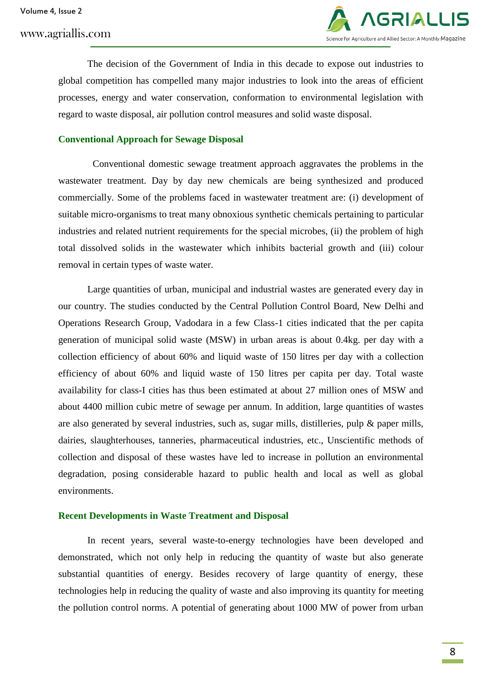

The decision of the Government of India in this decade to expose out industries to global competition has compelled many major industries to look into the areas of efficient processes, energy and water conservation, conformation to environmental legislation with regard to waste disposal, air pollution control measures and solid waste disposal.

## **Conventional Approach for Sewage Disposal**

Conventional domestic sewage treatment approach aggravates the problems in the wastewater treatment. Day by day new chemicals are being synthesized and produced commercially. Some of the problems faced in wastewater treatment are: (i) development of suitable micro-organisms to treat many obnoxious synthetic chemicals pertaining to particular industries and related nutrient requirements for the special microbes, (ii) the problem of high total dissolved solids in the wastewater which inhibits bacterial growth and (iii) colour removal in certain types of waste water.

Large quantities of urban, municipal and industrial wastes are generated every day in our country. The studies conducted by the Central Pollution Control Board, New Delhi and Operations Research Group, Vadodara in a few Class-1 cities indicated that the per capita generation of municipal solid waste (MSW) in urban areas is about 0.4kg. per day with a collection efficiency of about 60% and liquid waste of 150 litres per day with a collection efficiency of about 60% and liquid waste of 150 litres per capita per day. Total waste availability for class-I cities has thus been estimated at about 27 million ones of MSW and about 4400 million cubic metre of sewage per annum. In addition, large quantities of wastes are also generated by several industries, such as, sugar mills, distilleries, pulp & paper mills, dairies, slaughterhouses, tanneries, pharmaceutical industries, etc., Unscientific methods of collection and disposal of these wastes have led to increase in pollution an environmental degradation, posing considerable hazard to public health and local as well as global environments.

#### **Recent Developments in Waste Treatment and Disposal**

In recent years, several waste-to-energy technologies have been developed and demonstrated, which not only help in reducing the quantity of waste but also generate substantial quantities of energy. Besides recovery of large quantity of energy, these technologies help in reducing the quality of waste and also improving its quantity for meeting the pollution control norms. A potential of generating about 1000 MW of power from urban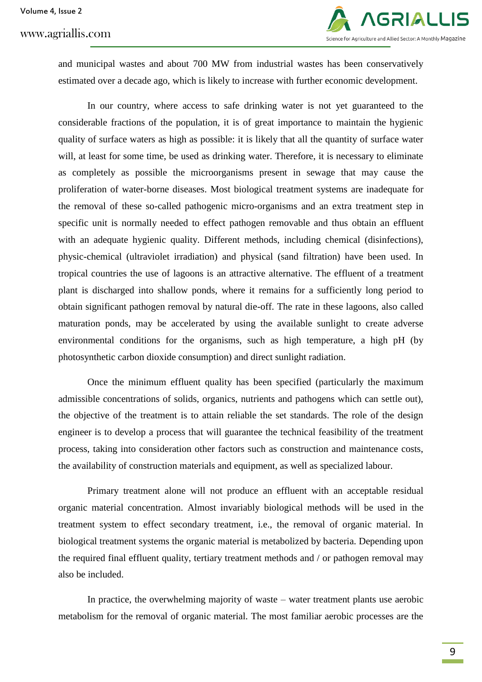

and municipal wastes and about 700 MW from industrial wastes has been conservatively estimated over a decade ago, which is likely to increase with further economic development.

In our country, where access to safe drinking water is not yet guaranteed to the considerable fractions of the population, it is of great importance to maintain the hygienic quality of surface waters as high as possible: it is likely that all the quantity of surface water will, at least for some time, be used as drinking water. Therefore, it is necessary to eliminate as completely as possible the microorganisms present in sewage that may cause the proliferation of water-borne diseases. Most biological treatment systems are inadequate for the removal of these so-called pathogenic micro-organisms and an extra treatment step in specific unit is normally needed to effect pathogen removable and thus obtain an effluent with an adequate hygienic quality. Different methods, including chemical (disinfections), physic-chemical (ultraviolet irradiation) and physical (sand filtration) have been used. In tropical countries the use of lagoons is an attractive alternative. The effluent of a treatment plant is discharged into shallow ponds, where it remains for a sufficiently long period to obtain significant pathogen removal by natural die-off. The rate in these lagoons, also called maturation ponds, may be accelerated by using the available sunlight to create adverse environmental conditions for the organisms, such as high temperature, a high pH (by photosynthetic carbon dioxide consumption) and direct sunlight radiation.

Once the minimum effluent quality has been specified (particularly the maximum admissible concentrations of solids, organics, nutrients and pathogens which can settle out), the objective of the treatment is to attain reliable the set standards. The role of the design engineer is to develop a process that will guarantee the technical feasibility of the treatment process, taking into consideration other factors such as construction and maintenance costs, the availability of construction materials and equipment, as well as specialized labour.

Primary treatment alone will not produce an effluent with an acceptable residual organic material concentration. Almost invariably biological methods will be used in the treatment system to effect secondary treatment, i.e., the removal of organic material. In biological treatment systems the organic material is metabolized by bacteria. Depending upon the required final effluent quality, tertiary treatment methods and / or pathogen removal may also be included.

In practice, the overwhelming majority of waste – water treatment plants use aerobic metabolism for the removal of organic material. The most familiar aerobic processes are the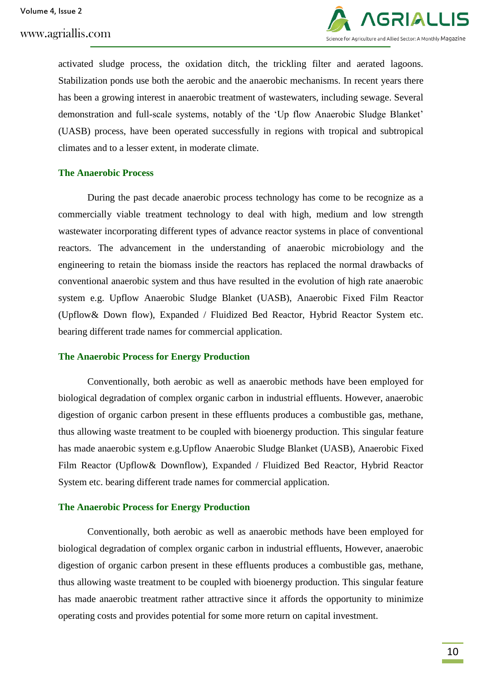

activated sludge process, the oxidation ditch, the trickling filter and aerated lagoons. Stabilization ponds use both the aerobic and the anaerobic mechanisms. In recent years there has been a growing interest in anaerobic treatment of wastewaters, including sewage. Several demonstration and full-scale systems, notably of the "Up flow Anaerobic Sludge Blanket" (UASB) process, have been operated successfully in regions with tropical and subtropical climates and to a lesser extent, in moderate climate.

#### **The Anaerobic Process**

During the past decade anaerobic process technology has come to be recognize as a commercially viable treatment technology to deal with high, medium and low strength wastewater incorporating different types of advance reactor systems in place of conventional reactors. The advancement in the understanding of anaerobic microbiology and the engineering to retain the biomass inside the reactors has replaced the normal drawbacks of conventional anaerobic system and thus have resulted in the evolution of high rate anaerobic system e.g. Upflow Anaerobic Sludge Blanket (UASB), Anaerobic Fixed Film Reactor (Upflow& Down flow), Expanded / Fluidized Bed Reactor, Hybrid Reactor System etc. bearing different trade names for commercial application.

#### **The Anaerobic Process for Energy Production**

Conventionally, both aerobic as well as anaerobic methods have been employed for biological degradation of complex organic carbon in industrial effluents. However, anaerobic digestion of organic carbon present in these effluents produces a combustible gas, methane, thus allowing waste treatment to be coupled with bioenergy production. This singular feature has made anaerobic system e.g.Upflow Anaerobic Sludge Blanket (UASB), Anaerobic Fixed Film Reactor (Upflow& Downflow), Expanded / Fluidized Bed Reactor, Hybrid Reactor System etc. bearing different trade names for commercial application.

## **The Anaerobic Process for Energy Production**

Conventionally, both aerobic as well as anaerobic methods have been employed for biological degradation of complex organic carbon in industrial effluents, However, anaerobic digestion of organic carbon present in these effluents produces a combustible gas, methane, thus allowing waste treatment to be coupled with bioenergy production. This singular feature has made anaerobic treatment rather attractive since it affords the opportunity to minimize operating costs and provides potential for some more return on capital investment.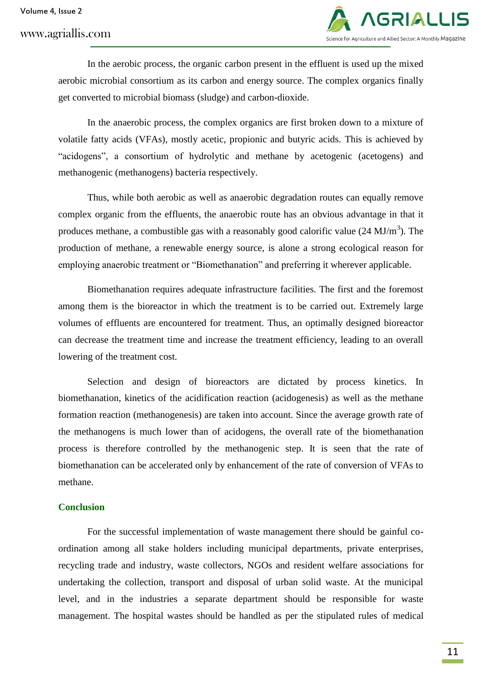

In the aerobic process, the organic carbon present in the effluent is used up the mixed aerobic microbial consortium as its carbon and energy source. The complex organics finally get converted to microbial biomass (sludge) and carbon-dioxide.

In the anaerobic process, the complex organics are first broken down to a mixture of volatile fatty acids (VFAs), mostly acetic, propionic and butyric acids. This is achieved by "acidogens", a consortium of hydrolytic and methane by acetogenic (acetogens) and methanogenic (methanogens) bacteria respectively.

Thus, while both aerobic as well as anaerobic degradation routes can equally remove complex organic from the effluents, the anaerobic route has an obvious advantage in that it produces methane, a combustible gas with a reasonably good calorific value  $(24 \text{ MJ/m}^3)$ . The production of methane, a renewable energy source, is alone a strong ecological reason for employing anaerobic treatment or "Biomethanation" and preferring it wherever applicable.

Biomethanation requires adequate infrastructure facilities. The first and the foremost among them is the bioreactor in which the treatment is to be carried out. Extremely large volumes of effluents are encountered for treatment. Thus, an optimally designed bioreactor can decrease the treatment time and increase the treatment efficiency, leading to an overall lowering of the treatment cost.

Selection and design of bioreactors are dictated by process kinetics. In biomethanation, kinetics of the acidification reaction (acidogenesis) as well as the methane formation reaction (methanogenesis) are taken into account. Since the average growth rate of the methanogens is much lower than of acidogens, the overall rate of the biomethanation process is therefore controlled by the methanogenic step. It is seen that the rate of biomethanation can be accelerated only by enhancement of the rate of conversion of VFAs to methane.

## **Conclusion**

For the successful implementation of waste management there should be gainful coordination among all stake holders including municipal departments, private enterprises, recycling trade and industry, waste collectors, NGOs and resident welfare associations for undertaking the collection, transport and disposal of urban solid waste. At the municipal level, and in the industries a separate department should be responsible for waste management. The hospital wastes should be handled as per the stipulated rules of medical